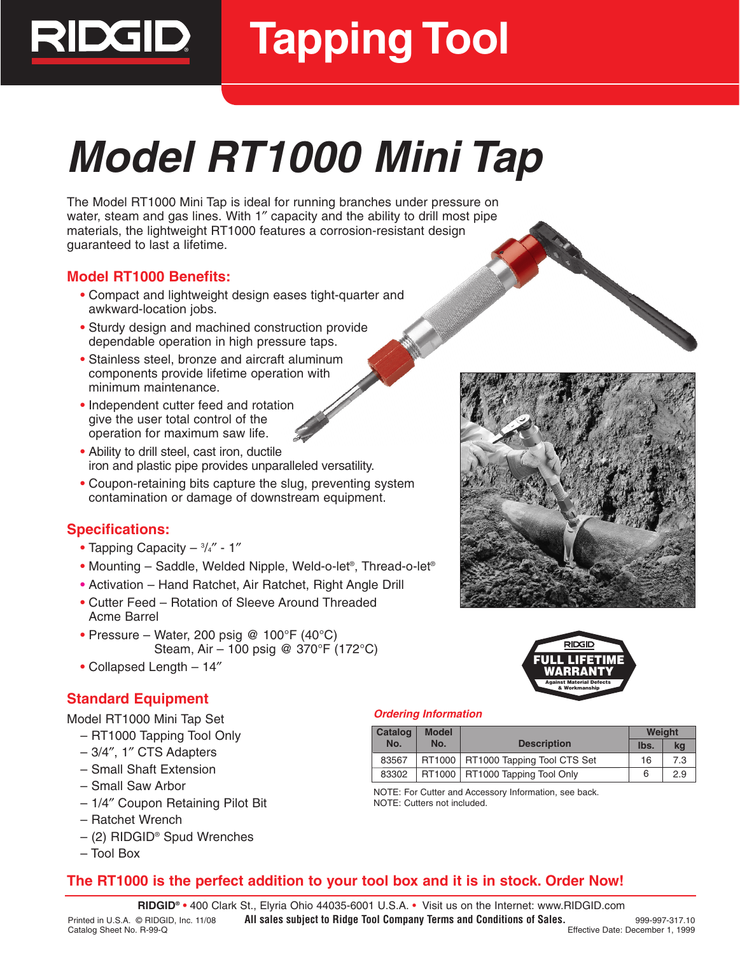

# **Tapping Tool**

# **Model RT1000 Mini Tap**

The Model RT1000 Mini Tap is ideal for running branches under pressure on water, steam and gas lines. With 1″ capacity and the ability to drill most pipe materials, the lightweight RT1000 features a corrosion-resistant design guaranteed to last a lifetime.

## **Model RT1000 Benefits:**

- **•** Compact and lightweight design eases tight-quarter and awkward-location jobs.
- **•** Sturdy design and machined construction provide dependable operation in high pressure taps.
- **•** Stainless steel, bronze and aircraft aluminum components provide lifetime operation with minimum maintenance.
- **•** Independent cutter feed and rotation give the user total control of the operation for maximum saw life.
- **•** Ability to drill steel, cast iron, ductile iron and plastic pipe provides unparalleled versatility.
- **•** Coupon-retaining bits capture the slug, preventing system contamination or damage of downstream equipment.

## **Specifications:**

- **•** Tapping Capacity 3 /4″ 1″
- **•** Mounting Saddle, Welded Nipple, Weld-o-let®, Thread-o-let®
- **•** Activation Hand Ratchet, Air Ratchet, Right Angle Drill
- **•** Cutter Feed Rotation of Sleeve Around Threaded Acme Barrel
- **•** Pressure Water, 200 psig @ 100°F (40°C) Steam, Air – 100 psig @ 370°F (172°C)
- **•** Collapsed Length 14″

## **Standard Equipment**

Model RT1000 Mini Tap Set

- RT1000 Tapping Tool Only
- 3/4″, 1″ CTS Adapters
- Small Shaft Extension
- Small Saw Arbor
- 1/4″ Coupon Retaining Pilot Bit
- Ratchet Wrench
- (2) RIDGID® Spud Wrenches
- Tool Box





## **Ordering Information**

| Catalog<br><b>Model</b> |     |                                      | <b>Weight</b> |     |
|-------------------------|-----|--------------------------------------|---------------|-----|
| No.                     | No. | <b>Description</b>                   | Ibs.          | kq  |
| 83567                   |     | RT1000   RT1000 Tapping Tool CTS Set | 16            | 7.3 |
| 83302                   |     | RT1000   RT1000 Tapping Tool Only    |               | 2.9 |

NOTE: For Cutter and Accessory Information, see back. NOTE: Cutters not included.

# **The RT1000 is the perfect addition to your tool box and it is in stock. Order Now!**